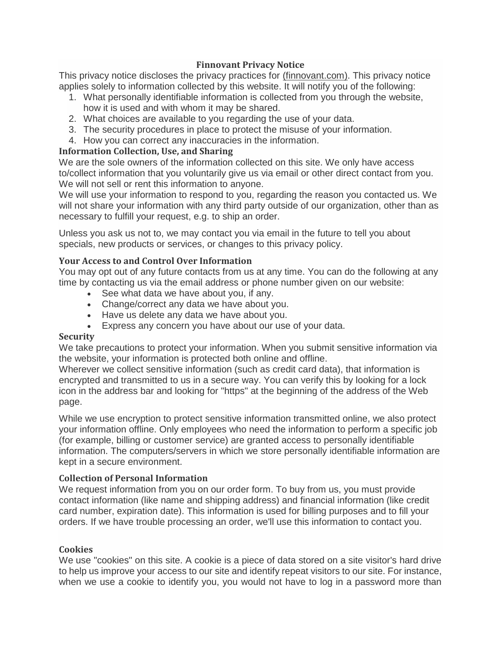## **Finnovant Privacy Notice**

This privacy notice discloses the privacy practices for (finnovant.com). This privacy notice applies solely to information collected by this website. It will notify you of the following:

- 1. What personally identifiable information is collected from you through the website, how it is used and with whom it may be shared.
- 2. What choices are available to you regarding the use of your data.
- 3. The security procedures in place to protect the misuse of your information.
- 4. How you can correct any inaccuracies in the information.

# **Information Collection, Use, and Sharing**

We are the sole owners of the information collected on this site. We only have access to/collect information that you voluntarily give us via email or other direct contact from you. We will not sell or rent this information to anyone.

We will use your information to respond to you, regarding the reason you contacted us. We will not share your information with any third party outside of our organization, other than as necessary to fulfill your request, e.g. to ship an order.

Unless you ask us not to, we may contact you via email in the future to tell you about specials, new products or services, or changes to this privacy policy.

# **Your Access to and Control Over Information**

You may opt out of any future contacts from us at any time. You can do the following at any time by contacting us via the email address or phone number given on our website:

- See what data we have about you, if any.
- Change/correct any data we have about you.
- Have us delete any data we have about you.
- Express any concern you have about our use of your data.

## **Security**

We take precautions to protect your information. When you submit sensitive information via the website, your information is protected both online and offline.

Wherever we collect sensitive information (such as credit card data), that information is encrypted and transmitted to us in a secure way. You can verify this by looking for a lock icon in the address bar and looking for "https" at the beginning of the address of the Web page.

While we use encryption to protect sensitive information transmitted online, we also protect your information offline. Only employees who need the information to perform a specific job (for example, billing or customer service) are granted access to personally identifiable information. The computers/servers in which we store personally identifiable information are kept in a secure environment.

## **Collection of Personal Information**

We request information from you on our order form. To buy from us, you must provide contact information (like name and shipping address) and financial information (like credit card number, expiration date). This information is used for billing purposes and to fill your orders. If we have trouble processing an order, we'll use this information to contact you.

## **Cookies**

We use "cookies" on this site. A cookie is a piece of data stored on a site visitor's hard drive to help us improve your access to our site and identify repeat visitors to our site. For instance, when we use a cookie to identify you, you would not have to log in a password more than